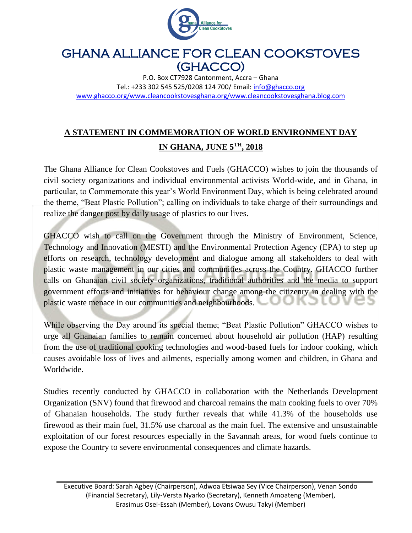

## GHANA ALLIANCE FOR CLEAN COOKSTOVES (GHACCO)

P.O. Box CT7928 Cantonment, Accra – Ghana Tel.: +233 302 545 525/0208 124 700/ Email: [info@ghacco.org](mailto:info@ghacco.org) [www.ghacco.org/www.cleancookstovesghana.org/www.cleancookstovesghana.blog.com](http://www.ghacco.org/www.cleancookstovesghana.org/www.cleancookstovesghana.blog.com)

## **A STATEMENT IN COMMEMORATION OF WORLD ENVIRONMENT DAY IN GHANA, JUNE 5TH, 2018**

The Ghana Alliance for Clean Cookstoves and Fuels (GHACCO) wishes to join the thousands of civil society organizations and individual environmental activists World-wide, and in Ghana, in particular, to Commemorate this year's World Environment Day, which is being celebrated around the theme, "Beat Plastic Pollution"; calling on individuals to take charge of their surroundings and realize the danger post by daily usage of plastics to our lives.

GHACCO wish to call on the Government through the Ministry of Environment, Science, Technology and Innovation (MESTI) and the Environmental Protection Agency (EPA) to step up efforts on research, technology development and dialogue among all stakeholders to deal with plastic waste management in our cities and communities across the Country. GHACCO further calls on Ghanaian civil society organizations, traditional authorities and the media to support government efforts and initiatives for behaviour change among the citizenry in dealing with the plastic waste menace in our communities and neighbourhoods. ノハつい

While observing the Day around its special theme; "Beat Plastic Pollution" GHACCO wishes to urge all Ghanaian families to remain concerned about household air pollution (HAP) resulting from the use of traditional cooking technologies and wood-based fuels for indoor cooking, which causes avoidable loss of lives and ailments, especially among women and children, in Ghana and Worldwide.

Studies recently conducted by GHACCO in collaboration with the Netherlands Development Organization (SNV) found that firewood and charcoal remains the main cooking fuels to over 70% of Ghanaian households. The study further reveals that while 41.3% of the households use firewood as their main fuel, 31.5% use charcoal as the main fuel. The extensive and unsustainable exploitation of our forest resources especially in the Savannah areas, for wood fuels continue to expose the Country to severe environmental consequences and climate hazards.